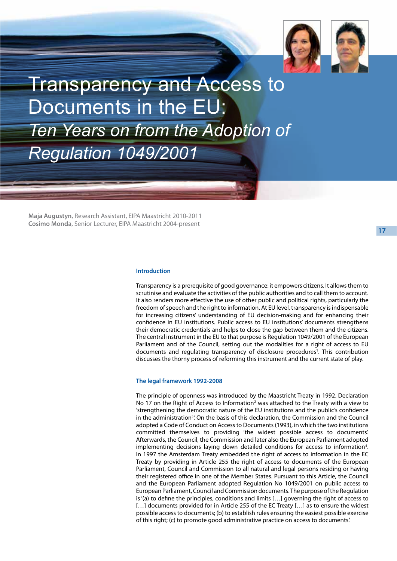

Transparency and Access to Documents in the EU: *Ten Years on from the Adoption of Regulation 1049/2001*

**Maja Augustyn**, Research Assistant, EIPA Maastricht 2010-2011 **Cosimo Monda**, Senior Lecturer, EIPA Maastricht 2004-present

**17**

# **Introduction**

Transparency is a prerequisite of good governance: it empowers citizens. It allows them to scrutinise and evaluate the activities of the public authorities and to call them to account. It also renders more effective the use of other public and political rights, particularly the freedom of speech and the right to information. At EU level, transparency is indispensable for increasing citizens' understanding of EU decision-making and for enhancing their confidence in EU institutions. Public access to EU institutions' documents strengthens their democratic credentials and helps to close the gap between them and the citizens. The central instrument in the EU to that purpose is Regulation 1049/2001 of the European Parliament and of the Council, setting out the modalities for a right of access to EU documents and regulating transparency of disclosure procedures<sup>1</sup>. This contribution discusses the thorny process of reforming this instrument and the current state of play.

#### **The legal framework 1992-2008**

The principle of openness was introduced by the Maastricht Treaty in 1992. Declaration No 17 on the Right of Access to Information<sup>2</sup> was attached to the Treaty with a view to 'strengthening the democratic nature of the EU institutions and the public's confidence in the administration<sup>3</sup>. On the basis of this declaration, the Commission and the Council adopted a Code of Conduct on Access to Documents (1993), in which the two institutions committed themselves to providing 'the widest possible access to documents'. Afterwards, the Council, the Commission and later also the European Parliament adopted implementing decisions laying down detailed conditions for access to information<sup>4</sup>. In 1997 the Amsterdam Treaty embedded the right of access to information in the EC Treaty by providing in Article 255 the right of access to documents of the European Parliament, Council and Commission to all natural and legal persons residing or having their registered office in one of the Member States. Pursuant to this Article, the Council and the European Parliament adopted Regulation No 1049/2001 on public access to European Parliament, Council and Commission documents. The purpose of the Regulation is '(a) to define the principles, conditions and limits […] governing the right of access to [...] documents provided for in Article 255 of the EC Treaty [...] as to ensure the widest possible access to documents; (b) to establish rules ensuring the easiest possible exercise of this right; (c) to promote good administrative practice on access to documents.'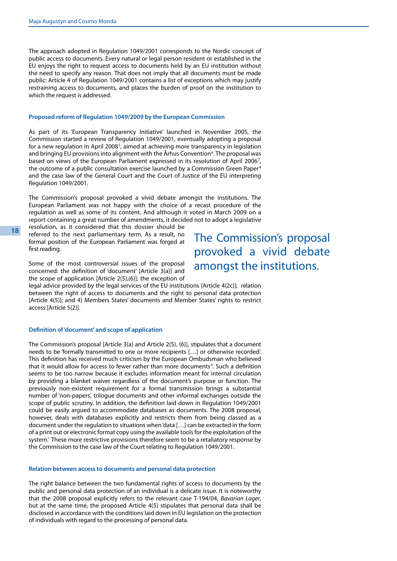The approach adopted in Regulation 1049/2001 corresponds to the Nordic concept of public access to documents. Every natural or legal person resident or established in the EU enjoys the right to request access to documents held by an EU institution without the need to specify any reason. That does not imply that all documents must be made public: Article 4 of Regulation 1049/2001 contains a list of exceptions which may justify restraining access to documents, and places the burden of proof on the institution to which the request is addressed.

## **Proposed reform of Regulation 1049/2009 by the European Commission**

As part of its 'European Transparency Initiative' launched in November 2005, the Commission started a review of Regulation 1049/2001, eventually adopting a proposal for a new regulation in April 2008 $^5$ , aimed at achieving more transparency in legislation and bringing EU provisions into alignment with the Århus Convention<sup>6</sup>. The proposal was based on views of the European Parliament expressed in its resolution of April 2006<sup>7</sup>, the outcome of a public consultation exercise launched by a Commission Green Paper<sup>8</sup> and the case law of the General Court and the Court of Justice of the EU interpreting Regulation 1049/2001.

The Commission's proposal provoked a vivid debate amongst the institutions. The European Parliament was not happy with the choice of a recast procedure of the regulation as well as some of its content. And although it voted in March 2009 on a report containing a great number of amendments, it decided not to adopt a legislative

resolution, as it considered that this dossier should be referred to the next parliamentary term. As a result, no formal position of the European Parliament was forged at first reading.

Some of the most controversial issues of the proposal concerned: the definition of 'document' [Article 3(a)] and the scope of application [Article 2(5),(6)]; the exception of

legal advice provided by the legal services of the EU institutions [Article 4(2c)]; relation between the right of access to documents and the right to personal data protection [Article 4(5)]; and 4) Members States' documents and Member States' rights to restrict access [Article 5(2)].

## **Definition of 'document' and scope of application**

The Commission's proposal [Article 3(a) and Article 2(5), (6)], stipulates that a document needs to be 'formally transmitted to one or more recipients […] or otherwise recorded'. This definition has received much criticism by the European Ombudsman who believed that it would allow for access to fewer rather than more documents<sup>9</sup>. Such a definition seems to be too narrow because it excludes information meant for internal circulation by providing a blanket waiver regardless of the document's purpose or function. The previously non-existent requirement for a formal transmission brings a substantial number of 'non-papers', trilogue documents and other informal exchanges outside the scope of public scrutiny. In addition, the definition laid down in Regulation 1049/2001 could be easily argued to accommodate databases as documents. The 2008 proposal, however, deals with databases explicitly and restricts them from being classed as a document under the regulation to situations when 'data […] can be extracted in the form of a print out or electronic format copy using the available tools for the exploitation of the system.' These more restrictive provisions therefore seem to be a retaliatory response by the Commission to the case law of the Court relating to Regulation 1049/2001.

### **Relation between access to documents and personal data protection**

The right balance between the two fundamental rights of access to documents by the public and personal data protection of an individual is a delicate issue. It is noteworthy that the 2008 proposal explicitly refers to the relevant case T-194/04, *Bavarian Lager*, but at the same time, the proposed Article 4(5) stipulates that personal data shall be disclosed in accordance with the conditions laid down in EU legislation on the protection of individuals with regard to the processing of personal data.

The Commission's proposal provoked a vivid debate amongst the institutions.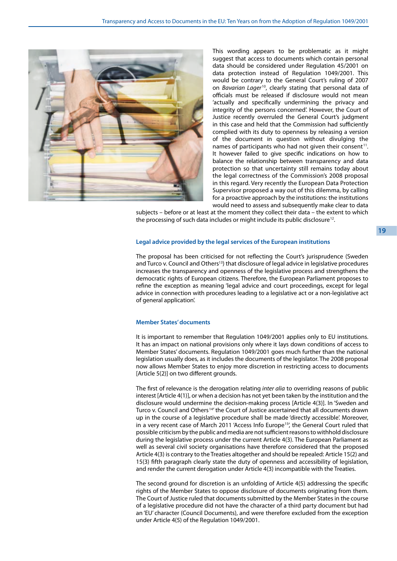

This wording appears to be problematic as it might suggest that access to documents which contain personal data should be considered under Regulation 45/2001 on data protection instead of Regulation 1049/2001. This would be contrary to the General Court's ruling of 2007 on *Bavarian Lager* 10, clearly stating that personal data of officials must be released if disclosure would not mean 'actually and specifically undermining the privacy and integrity of the persons concerned'. However, the Court of Justice recently overruled the General Court's judgment in this case and held that the Commission had sufficiently complied with its duty to openness by releasing a version of the document in question without divulging the names of participants who had not given their consent<sup>11</sup>. It however failed to give specific indications on how to balance the relationship between transparency and data protection so that uncertainty still remains today about the legal correctness of the Commission's 2008 proposal in this regard. Very recently the European Data Protection Supervisor proposed a way out of this dilemma, by calling for a proactive approach by the institutions: the institutions would need to assess and subsequently make clear to data

subjects – before or at least at the moment they collect their data – the extent to which the processing of such data includes or might include its public disclosure<sup>12</sup>.

## **Legal advice provided by the legal services of the European institutions**

The proposal has been criticised for not reflecting the Court's jurisprudence (Sweden and Turco v. Council and Others<sup>13</sup>) that disclosure of legal advice in legislative procedures increases the transparency and openness of the legislative process and strengthens the democratic rights of European citizens. Therefore, the European Parliament proposes to refine the exception as meaning 'legal advice and court proceedings, except for legal advice in connection with procedures leading to a legislative act or a non-legislative act of general application'.

#### **Member States' documents**

It is important to remember that Regulation 1049/2001 applies only to EU institutions. It has an impact on national provisions only where it lays down conditions of access to Member States' documents. Regulation 1049/2001 goes much further than the national legislation usually does, as it includes the documents of the legislator. The 2008 proposal now allows Member States to enjoy more discretion in restricting access to documents [Article 5(2)] on two different grounds.

The first of relevance is the derogation relating *inter alia* to overriding reasons of public interest [Article 4(1)], or when a decision has not yet been taken by the institution and the disclosure would undermine the decision-making process [Article 4(3)]. In 'Sweden and Turco v. Council and Others<sup>14'</sup> the Court of Justice ascertained that all documents drawn up in the course of a legislative procedure shall be made 'directly accessible'. Moreover, in a very recent case of March 2011 'Access Info Europe<sup>15'</sup>, the General Court ruled that possible criticism by the public and media are not sufficient reasons to withhold disclosure during the legislative process under the current Article 4(3). The European Parliament as well as several civil society organisations have therefore considered that the proposed Article 4(3) is contrary to the Treaties altogether and should be repealed: Article 15(2) and 15(3) fifth paragraph clearly state the duty of openness and accessibility of legislation, and render the current derogation under Article 4(3) incompatible with the Treaties.

The second ground for discretion is an unfolding of Article 4(5) addressing the specific rights of the Member States to oppose disclosure of documents originating from them. The Court of Justice ruled that documents submitted by the Member States in the course of a legislative procedure did not have the character of a third party document but had an 'EU' character (Council Documents), and were therefore excluded from the exception under Article 4(5) of the Regulation 1049/2001.